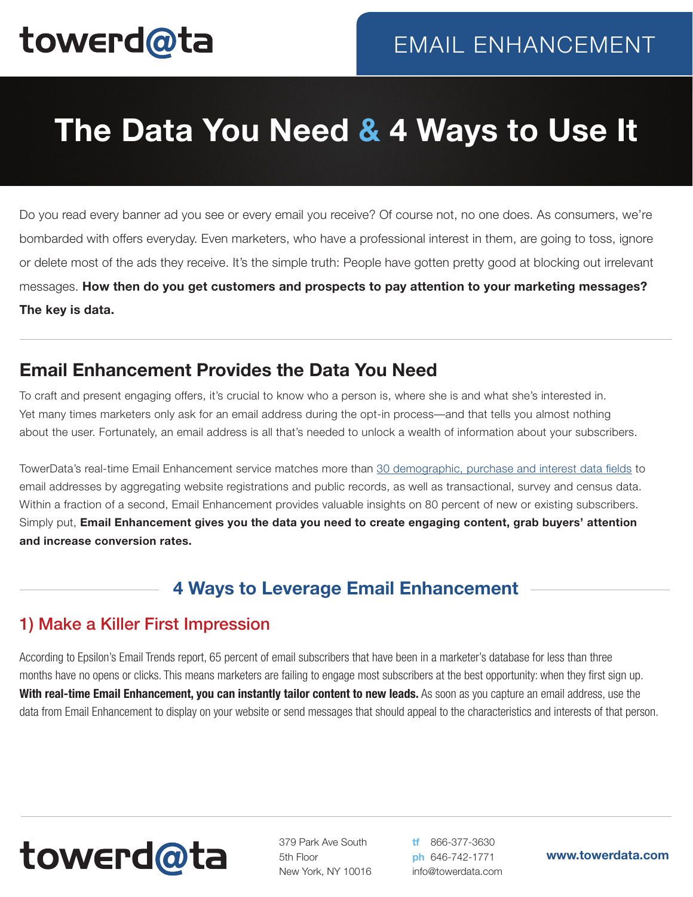# towerd@ta

## **The Data You Need & 4 Ways to Use It**

Do you read every banner ad you see or every email you receive? Of course not, no one does. As consumers, we're bombarded with offers everyday. Even marketers, who have a professional interest in them, are going to toss, ignore or delete most of the ads they receive. It's the simple truth: People have gotten pretty good at blocking out irrelevant messages. **How then do you get customers and prospects to pay attention to your marketing messages? The key is data.**

### **Email Enhancement Provides the Data You Need**

To craft and present engaging offers, it's crucial to know who a person is, where she is and what she's interested in. Yet many times marketers only ask for an email address during the opt-in process—and that tells you almost nothing about the user. Fortunately, an email address is all that's needed to unlock a wealth of information about your subscribers.

TowerData's real-time Email Enhancement service matches more than [30 demographic, purchase and interest data fields](http://info.towerdata.com/hs-fs/hub/68599/file-422051720-pdf/docs/DataDictionaryPRINT.pdf) to email addresses by aggregating website registrations and public records, as well as transactional, survey and census data. Within a fraction of a second, Email Enhancement provides valuable insights on 80 percent of new or existing subscribers. Simply put, **Email Enhancement gives you the data you need to create engaging content, grab buyers' attention and increase conversion rates.**

### **4 Ways to Leverage Email Enhancement**

#### 1) Make a Killer First Impression

According to Epsilon's Email Trends report, 65 percent of email subscribers that have been in a marketer's database for less than three months have no opens or clicks. This means marketers are failing to engage most subscribers at the best opportunity: when they first sign up. **With real-time Email Enhancement, you can instantly tailor content to new leads.** As soon as you capture an email address, use the data from Email Enhancement to display on your website or send messages that should appeal to the characteristics and interests of that person.

# towerd@ta

379 Park Ave South 5th Floor New York, NY 10016 **tf** 866-377-3630 **ph** 646-742-1771 info@towerdata.com

**www.towerdata.com**